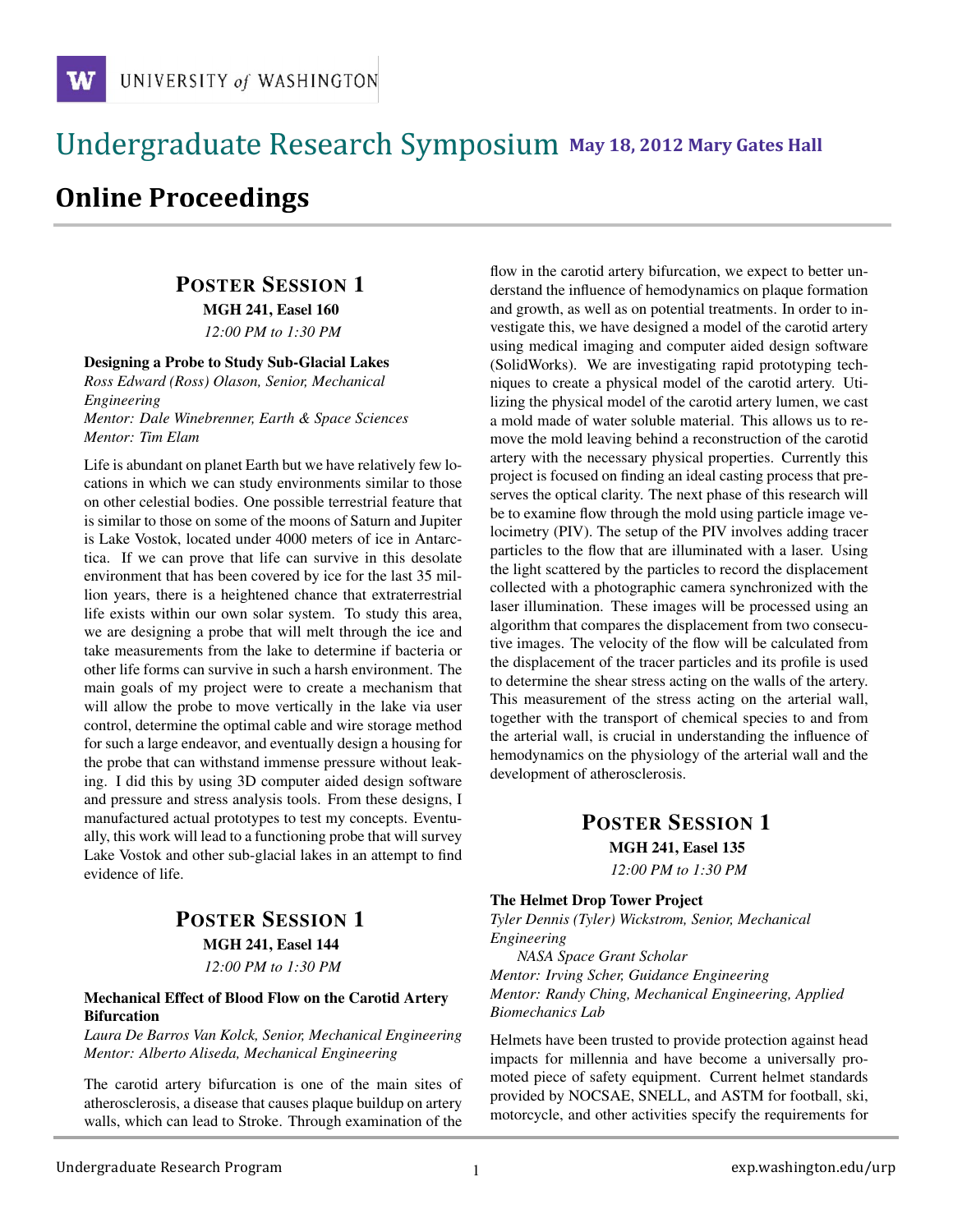## !!!!!!!!!!!!!!!!!!!!!!!!!!!!!!!!!!!!!!!!!!!!!!!!!!!!!!!!!!!!!!!!!!!!!!!!!!!!!!!!!!!!!!!!!!!!!!!!! **111 May 18, 2012 Mary Gates Hall** !!!!!!!!!!!!!!!!!!!!!!!!!!!!!!!!!!!!!!!!!!!!!!!!!!!!!!!!!!!!!!!!!!!!!!!!!!!!!!!!!!

# **Online Proceedings**

## POSTER SESSION 1

MGH 241, Easel 160

*12:00 PM to 1:30 PM*

#### Designing a Probe to Study Sub-Glacial Lakes

*Ross Edward (Ross) Olason, Senior, Mechanical Engineering*

*Mentor: Dale Winebrenner, Earth & Space Sciences Mentor: Tim Elam*

Life is abundant on planet Earth but we have relatively few locations in which we can study environments similar to those on other celestial bodies. One possible terrestrial feature that is similar to those on some of the moons of Saturn and Jupiter is Lake Vostok, located under 4000 meters of ice in Antarctica. If we can prove that life can survive in this desolate environment that has been covered by ice for the last 35 million years, there is a heightened chance that extraterrestrial life exists within our own solar system. To study this area, we are designing a probe that will melt through the ice and take measurements from the lake to determine if bacteria or other life forms can survive in such a harsh environment. The main goals of my project were to create a mechanism that will allow the probe to move vertically in the lake via user control, determine the optimal cable and wire storage method for such a large endeavor, and eventually design a housing for the probe that can withstand immense pressure without leaking. I did this by using 3D computer aided design software and pressure and stress analysis tools. From these designs, I manufactured actual prototypes to test my concepts. Eventually, this work will lead to a functioning probe that will survey Lake Vostok and other sub-glacial lakes in an attempt to find evidence of life.

## POSTER SESSION 1 MGH 241, Easel 144 *12:00 PM to 1:30 PM*

#### Mechanical Effect of Blood Flow on the Carotid Artery Bifurcation

*Laura De Barros Van Kolck, Senior, Mechanical Engineering Mentor: Alberto Aliseda, Mechanical Engineering*

The carotid artery bifurcation is one of the main sites of atherosclerosis, a disease that causes plaque buildup on artery walls, which can lead to Stroke. Through examination of the flow in the carotid artery bifurcation, we expect to better understand the influence of hemodynamics on plaque formation and growth, as well as on potential treatments. In order to investigate this, we have designed a model of the carotid artery using medical imaging and computer aided design software (SolidWorks). We are investigating rapid prototyping techniques to create a physical model of the carotid artery. Utilizing the physical model of the carotid artery lumen, we cast a mold made of water soluble material. This allows us to remove the mold leaving behind a reconstruction of the carotid artery with the necessary physical properties. Currently this project is focused on finding an ideal casting process that preserves the optical clarity. The next phase of this research will be to examine flow through the mold using particle image velocimetry (PIV). The setup of the PIV involves adding tracer particles to the flow that are illuminated with a laser. Using the light scattered by the particles to record the displacement collected with a photographic camera synchronized with the laser illumination. These images will be processed using an algorithm that compares the displacement from two consecutive images. The velocity of the flow will be calculated from the displacement of the tracer particles and its profile is used to determine the shear stress acting on the walls of the artery. This measurement of the stress acting on the arterial wall, together with the transport of chemical species to and from the arterial wall, is crucial in understanding the influence of hemodynamics on the physiology of the arterial wall and the development of atherosclerosis.

## POSTER SESSION 1 MGH 241, Easel 135

*12:00 PM to 1:30 PM*

#### The Helmet Drop Tower Project

*Tyler Dennis (Tyler) Wickstrom, Senior, Mechanical Engineering*

*NASA Space Grant Scholar Mentor: Irving Scher, Guidance Engineering Mentor: Randy Ching, Mechanical Engineering, Applied Biomechanics Lab*

Helmets have been trusted to provide protection against head impacts for millennia and have become a universally promoted piece of safety equipment. Current helmet standards provided by NOCSAE, SNELL, and ASTM for football, ski, motorcycle, and other activities specify the requirements for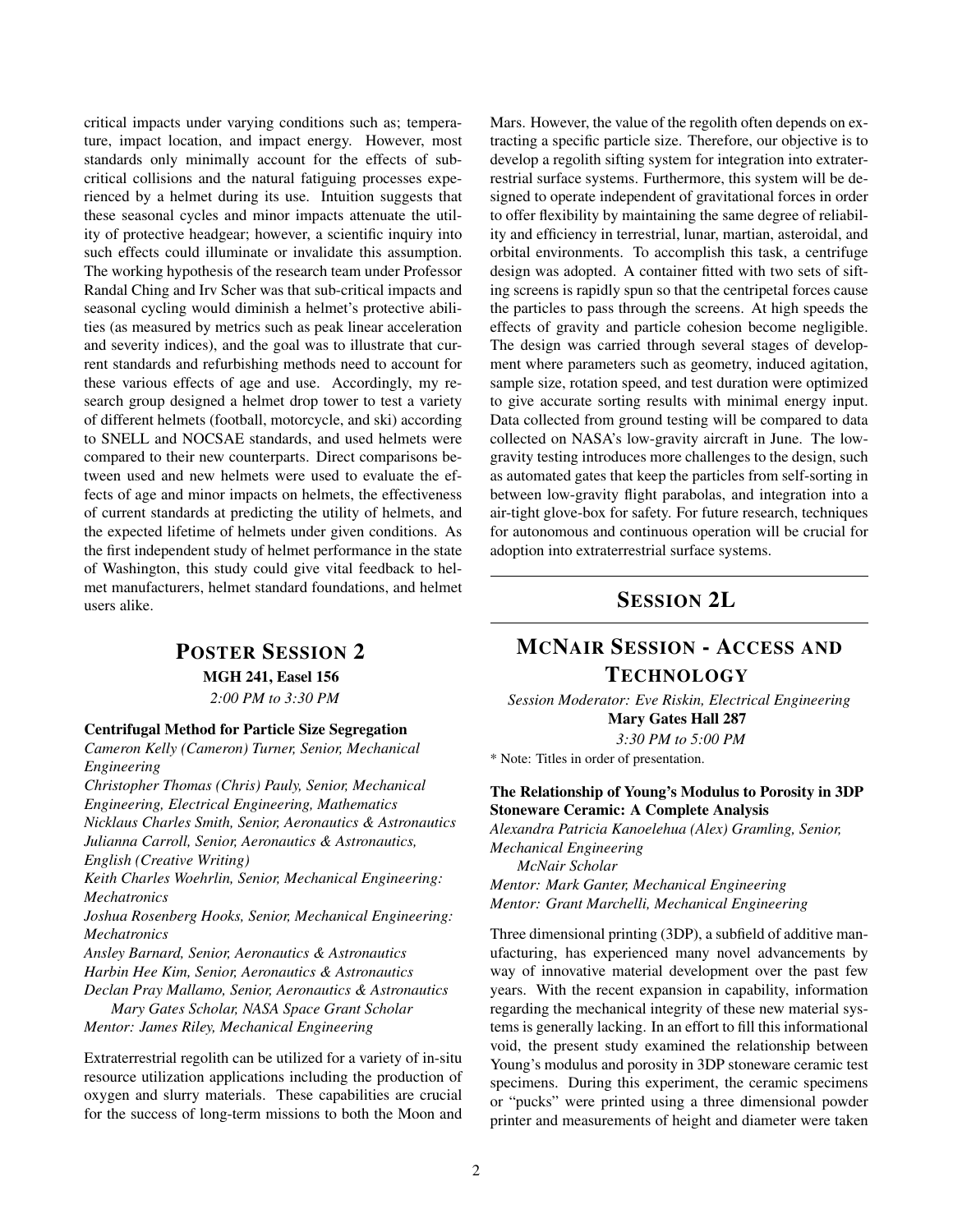critical impacts under varying conditions such as; temperature, impact location, and impact energy. However, most standards only minimally account for the effects of subcritical collisions and the natural fatiguing processes experienced by a helmet during its use. Intuition suggests that these seasonal cycles and minor impacts attenuate the utility of protective headgear; however, a scientific inquiry into such effects could illuminate or invalidate this assumption. The working hypothesis of the research team under Professor Randal Ching and Irv Scher was that sub-critical impacts and seasonal cycling would diminish a helmet's protective abilities (as measured by metrics such as peak linear acceleration and severity indices), and the goal was to illustrate that current standards and refurbishing methods need to account for these various effects of age and use. Accordingly, my research group designed a helmet drop tower to test a variety of different helmets (football, motorcycle, and ski) according to SNELL and NOCSAE standards, and used helmets were compared to their new counterparts. Direct comparisons between used and new helmets were used to evaluate the effects of age and minor impacts on helmets, the effectiveness of current standards at predicting the utility of helmets, and the expected lifetime of helmets under given conditions. As the first independent study of helmet performance in the state of Washington, this study could give vital feedback to helmet manufacturers, helmet standard foundations, and helmet users alike.

### POSTER SESSION 2

MGH 241, Easel 156

*2:00 PM to 3:30 PM*

#### Centrifugal Method for Particle Size Segregation

*Cameron Kelly (Cameron) Turner, Senior, Mechanical Engineering*

*Christopher Thomas (Chris) Pauly, Senior, Mechanical Engineering, Electrical Engineering, Mathematics Nicklaus Charles Smith, Senior, Aeronautics & Astronautics Julianna Carroll, Senior, Aeronautics & Astronautics, English (Creative Writing)*

*Keith Charles Woehrlin, Senior, Mechanical Engineering: Mechatronics*

*Joshua Rosenberg Hooks, Senior, Mechanical Engineering: Mechatronics*

*Ansley Barnard, Senior, Aeronautics & Astronautics Harbin Hee Kim, Senior, Aeronautics & Astronautics Declan Pray Mallamo, Senior, Aeronautics & Astronautics*

*Mary Gates Scholar, NASA Space Grant Scholar Mentor: James Riley, Mechanical Engineering*

Extraterrestrial regolith can be utilized for a variety of in-situ resource utilization applications including the production of oxygen and slurry materials. These capabilities are crucial for the success of long-term missions to both the Moon and Mars. However, the value of the regolith often depends on extracting a specific particle size. Therefore, our objective is to develop a regolith sifting system for integration into extraterrestrial surface systems. Furthermore, this system will be designed to operate independent of gravitational forces in order to offer flexibility by maintaining the same degree of reliability and efficiency in terrestrial, lunar, martian, asteroidal, and orbital environments. To accomplish this task, a centrifuge design was adopted. A container fitted with two sets of sifting screens is rapidly spun so that the centripetal forces cause the particles to pass through the screens. At high speeds the effects of gravity and particle cohesion become negligible. The design was carried through several stages of development where parameters such as geometry, induced agitation, sample size, rotation speed, and test duration were optimized to give accurate sorting results with minimal energy input. Data collected from ground testing will be compared to data collected on NASA's low-gravity aircraft in June. The lowgravity testing introduces more challenges to the design, such as automated gates that keep the particles from self-sorting in between low-gravity flight parabolas, and integration into a air-tight glove-box for safety. For future research, techniques for autonomous and continuous operation will be crucial for adoption into extraterrestrial surface systems.

## SESSION 2L

## MCNAIR SESSION - ACCESS AND **TECHNOLOGY**

*Session Moderator: Eve Riskin, Electrical Engineering* Mary Gates Hall 287

*3:30 PM to 5:00 PM*

\* Note: Titles in order of presentation.

#### The Relationship of Young's Modulus to Porosity in 3DP Stoneware Ceramic: A Complete Analysis

*Alexandra Patricia Kanoelehua (Alex) Gramling, Senior, Mechanical Engineering McNair Scholar Mentor: Mark Ganter, Mechanical Engineering*

*Mentor: Grant Marchelli, Mechanical Engineering*

Three dimensional printing (3DP), a subfield of additive manufacturing, has experienced many novel advancements by way of innovative material development over the past few years. With the recent expansion in capability, information regarding the mechanical integrity of these new material systems is generally lacking. In an effort to fill this informational void, the present study examined the relationship between Young's modulus and porosity in 3DP stoneware ceramic test specimens. During this experiment, the ceramic specimens or "pucks" were printed using a three dimensional powder printer and measurements of height and diameter were taken